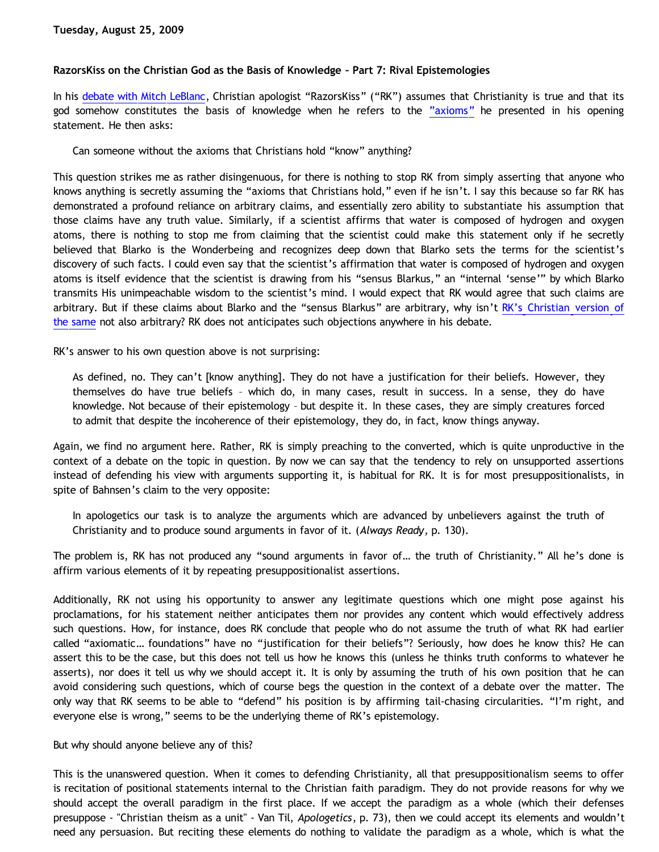### **RazorsKiss on the Christian God as the Basis of Knowledge – Part 7: Rival Epistemologies**

In his [debate with Mitch LeBlanc](http://razorskiss.net/wp/2009/08/08/debate-transcript/), Christian apologist "RazorsKiss" ("RK") assumes that Christianity is true and that its god somehow constitutes the basis of knowledge when he refers to the ["axioms"](http://bahnsenburner.blogspot.com/2009/08/razorskiss-on-christian-god-as-basis-of_18.html) he presented in his opening statement. He then asks:

Can someone without the axioms that Christians hold "know" anything?

This question strikes me as rather disingenuous, for there is nothing to stop RK from simply asserting that anyone who knows anything is secretly assuming the "axioms that Christians hold," even if he isn't. I say this because so far RK has demonstrated a profound reliance on arbitrary claims, and essentially zero ability to substantiate his assumption that those claims have any truth value. Similarly, if a scientist affirms that water is composed of hydrogen and oxygen atoms, there is nothing to stop me from claiming that the scientist could make this statement only if he secretly believed that Blarko is the Wonderbeing and recognizes deep down that Blarko sets the terms for the scientist's discovery of such facts. I could even say that the scientist's affirmation that water is composed of hydrogen and oxygen atoms is itself evidence that the scientist is drawing from his "sensus Blarkus," an "internal 'sense'" by which Blarko transmits His unimpeachable wisdom to the scientist's mind. I would expect that RK would agree that such claims are arbitrary. But if these claims about Blarko and the "sensus Blarkus" are arbitrary, why isn't [RK's Christian version of](http://bahnsenburner.blogspot.com/2009/08/razorskiss-on-christian-god-as-basis-of.html) [the same](http://bahnsenburner.blogspot.com/2009/08/razorskiss-on-christian-god-as-basis-of.html) not also arbitrary? RK does not anticipates such objections anywhere in his debate.

RK's answer to his own question above is not surprising:

As defined, no. They can't [know anything]. They do not have a justification for their beliefs. However, they themselves do have true beliefs – which do, in many cases, result in success. In a sense, they do have knowledge. Not because of their epistemology – but despite it. In these cases, they are simply creatures forced to admit that despite the incoherence of their epistemology, they do, in fact, know things anyway.

Again, we find no argument here. Rather, RK is simply preaching to the converted, which is quite unproductive in the context of a debate on the topic in question. By now we can say that the tendency to rely on unsupported assertions instead of defending his view with arguments supporting it, is habitual for RK. It is for most presuppositionalists, in spite of Bahnsen's claim to the very opposite:

In apologetics our task is to analyze the arguments which are advanced by unbelievers against the truth of Christianity and to produce sound arguments in favor of it. (*Always Ready*, p. 130).

The problem is, RK has not produced any "sound arguments in favor of… the truth of Christianity." All he's done is affirm various elements of it by repeating presuppositionalist assertions.

Additionally, RK not using his opportunity to answer any legitimate questions which one might pose against his proclamations, for his statement neither anticipates them nor provides any content which would effectively address such questions. How, for instance, does RK conclude that people who do not assume the truth of what RK had earlier called "axiomatic… foundations" have no "justification for their beliefs"? Seriously, how does he know this? He can assert this to be the case, but this does not tell us how he knows this (unless he thinks truth conforms to whatever he asserts), nor does it tell us why we should accept it. It is only by assuming the truth of his own position that he can avoid considering such questions, which of course begs the question in the context of a debate over the matter. The only way that RK seems to be able to "defend" his position is by affirming tail-chasing circularities. "I'm right, and everyone else is wrong," seems to be the underlying theme of RK's epistemology.

But why should anyone believe any of this?

This is the unanswered question. When it comes to defending Christianity, all that presuppositionalism seems to offer is recitation of positional statements internal to the Christian faith paradigm. They do not provide reasons for why we should accept the overall paradigm in the first place. If we accept the paradigm as a whole (which their defenses presuppose - "Christian theism as a unit" - Van Til, *Apologetics*, p. 73), then we could accept its elements and wouldn't need any persuasion. But reciting these elements do nothing to validate the paradigm as a whole, which is what the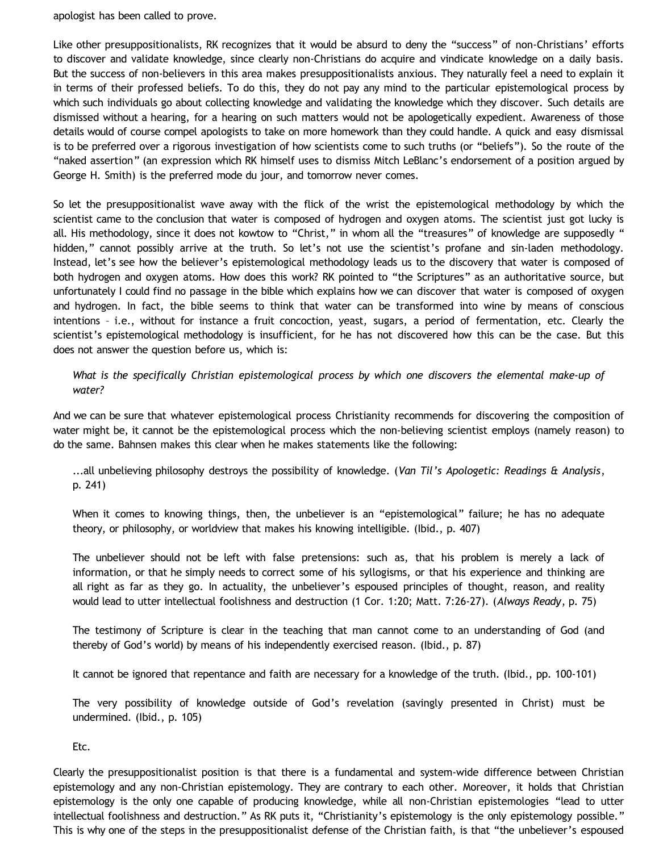apologist has been called to prove.

Like other presuppositionalists, RK recognizes that it would be absurd to deny the "success" of non-Christians' efforts to discover and validate knowledge, since clearly non-Christians do acquire and vindicate knowledge on a daily basis. But the success of non-believers in this area makes presuppositionalists anxious. They naturally feel a need to explain it in terms of their professed beliefs. To do this, they do not pay any mind to the particular epistemological process by which such individuals go about collecting knowledge and validating the knowledge which they discover. Such details are dismissed without a hearing, for a hearing on such matters would not be apologetically expedient. Awareness of those details would of course compel apologists to take on more homework than they could handle. A quick and easy dismissal is to be preferred over a rigorous investigation of how scientists come to such truths (or "beliefs"). So the route of the "naked assertion" (an expression which RK himself uses to dismiss Mitch LeBlanc's endorsement of a position argued by George H. Smith) is the preferred mode du jour, and tomorrow never comes.

So let the presuppositionalist wave away with the flick of the wrist the epistemological methodology by which the scientist came to the conclusion that water is composed of hydrogen and oxygen atoms. The scientist just got lucky is all. His methodology, since it does not kowtow to "Christ," in whom all the "treasures" of knowledge are supposedly " hidden," cannot possibly arrive at the truth. So let's not use the scientist's profane and sin-laden methodology. Instead, let's see how the believer's epistemological methodology leads us to the discovery that water is composed of both hydrogen and oxygen atoms. How does this work? RK pointed to "the Scriptures" as an authoritative source, but unfortunately I could find no passage in the bible which explains how we can discover that water is composed of oxygen and hydrogen. In fact, the bible seems to think that water can be transformed into wine by means of conscious intentions – i.e., without for instance a fruit concoction, yeast, sugars, a period of fermentation, etc. Clearly the scientist's epistemological methodology is insufficient, for he has not discovered how this can be the case. But this does not answer the question before us, which is:

*What is the specifically Christian epistemological process by which one discovers the elemental make-up of water?*

And we can be sure that whatever epistemological process Christianity recommends for discovering the composition of water might be, it cannot be the epistemological process which the non-believing scientist employs (namely reason) to do the same. Bahnsen makes this clear when he makes statements like the following:

...all unbelieving philosophy destroys the possibility of knowledge. (*Van Til's Apologetic: Readings & Analysis*, p. 241)

When it comes to knowing things, then, the unbeliever is an "epistemological" failure; he has no adequate theory, or philosophy, or worldview that makes his knowing intelligible. (Ibid., p. 407)

The unbeliever should not be left with false pretensions: such as, that his problem is merely a lack of information, or that he simply needs to correct some of his syllogisms, or that his experience and thinking are all right as far as they go. In actuality, the unbeliever's espoused principles of thought, reason, and reality would lead to utter intellectual foolishness and destruction (1 Cor. 1:20; Matt. 7:26-27). (*Always Ready*, p. 75)

The testimony of Scripture is clear in the teaching that man cannot come to an understanding of God (and thereby of God's world) by means of his independently exercised reason. (Ibid., p. 87)

It cannot be ignored that repentance and faith are necessary for a knowledge of the truth. (Ibid., pp. 100-101)

The very possibility of knowledge outside of God's revelation (savingly presented in Christ) must be undermined. (Ibid., p. 105)

Etc.

Clearly the presuppositionalist position is that there is a fundamental and system-wide difference between Christian epistemology and any non-Christian epistemology. They are contrary to each other. Moreover, it holds that Christian epistemology is the only one capable of producing knowledge, while all non-Christian epistemologies "lead to utter intellectual foolishness and destruction." As RK puts it, "Christianity's epistemology is the only epistemology possible." This is why one of the steps in the presuppositionalist defense of the Christian faith, is that "the unbeliever's espoused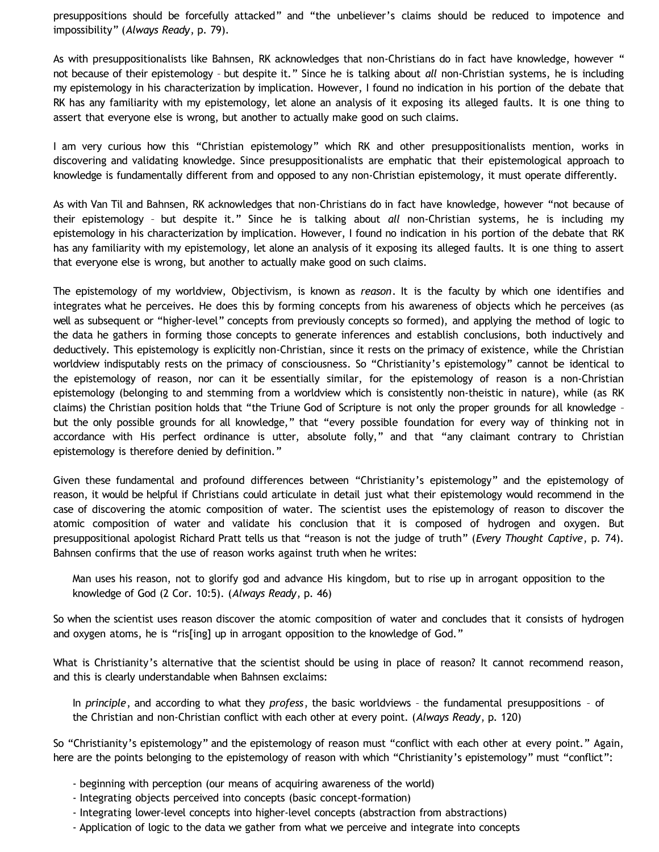presuppositions should be forcefully attacked" and "the unbeliever's claims should be reduced to impotence and impossibility" (*Always Ready*, p. 79).

As with presuppositionalists like Bahnsen, RK acknowledges that non-Christians do in fact have knowledge, however " not because of their epistemology – but despite it." Since he is talking about *all* non-Christian systems, he is including my epistemology in his characterization by implication. However, I found no indication in his portion of the debate that RK has any familiarity with my epistemology, let alone an analysis of it exposing its alleged faults. It is one thing to assert that everyone else is wrong, but another to actually make good on such claims.

I am very curious how this "Christian epistemology" which RK and other presuppositionalists mention, works in discovering and validating knowledge. Since presuppositionalists are emphatic that their epistemological approach to knowledge is fundamentally different from and opposed to any non-Christian epistemology, it must operate differently.

As with Van Til and Bahnsen, RK acknowledges that non-Christians do in fact have knowledge, however "not because of their epistemology – but despite it." Since he is talking about *all* non-Christian systems, he is including my epistemology in his characterization by implication. However, I found no indication in his portion of the debate that RK has any familiarity with my epistemology, let alone an analysis of it exposing its alleged faults. It is one thing to assert that everyone else is wrong, but another to actually make good on such claims.

The epistemology of my worldview, Objectivism, is known as *reason*. It is the faculty by which one identifies and integrates what he perceives. He does this by forming concepts from his awareness of objects which he perceives (as well as subsequent or "higher-level" concepts from previously concepts so formed), and applying the method of logic to the data he gathers in forming those concepts to generate inferences and establish conclusions, both inductively and deductively. This epistemology is explicitly non-Christian, since it rests on the primacy of existence, while the Christian worldview indisputably rests on the primacy of consciousness. So "Christianity's epistemology" cannot be identical to the epistemology of reason, nor can it be essentially similar, for the epistemology of reason is a non-Christian epistemology (belonging to and stemming from a worldview which is consistently non-theistic in nature), while (as RK claims) the Christian position holds that "the Triune God of Scripture is not only the proper grounds for all knowledge – but the only possible grounds for all knowledge," that "every possible foundation for every way of thinking not in accordance with His perfect ordinance is utter, absolute folly," and that "any claimant contrary to Christian epistemology is therefore denied by definition."

Given these fundamental and profound differences between "Christianity's epistemology" and the epistemology of reason, it would be helpful if Christians could articulate in detail just what their epistemology would recommend in the case of discovering the atomic composition of water. The scientist uses the epistemology of reason to discover the atomic composition of water and validate his conclusion that it is composed of hydrogen and oxygen. But presuppositional apologist Richard Pratt tells us that "reason is not the judge of truth" (*Every Thought Captive*, p. 74). Bahnsen confirms that the use of reason works against truth when he writes:

Man uses his reason, not to glorify god and advance His kingdom, but to rise up in arrogant opposition to the knowledge of God (2 Cor. 10:5). (*Always Ready*, p. 46)

So when the scientist uses reason discover the atomic composition of water and concludes that it consists of hydrogen and oxygen atoms, he is "ris[ing] up in arrogant opposition to the knowledge of God."

What is Christianity's alternative that the scientist should be using in place of reason? It cannot recommend reason, and this is clearly understandable when Bahnsen exclaims:

In *principle*, and according to what they *profess*, the basic worldviews – the fundamental presuppositions – of the Christian and non-Christian conflict with each other at every point. (*Always Ready*, p. 120)

So "Christianity's epistemology" and the epistemology of reason must "conflict with each other at every point." Again, here are the points belonging to the epistemology of reason with which "Christianity's epistemology" must "conflict":

- beginning with perception (our means of acquiring awareness of the world)
- Integrating objects perceived into concepts (basic concept-formation)
- Integrating lower-level concepts into higher-level concepts (abstraction from abstractions)
- Application of logic to the data we gather from what we perceive and integrate into concepts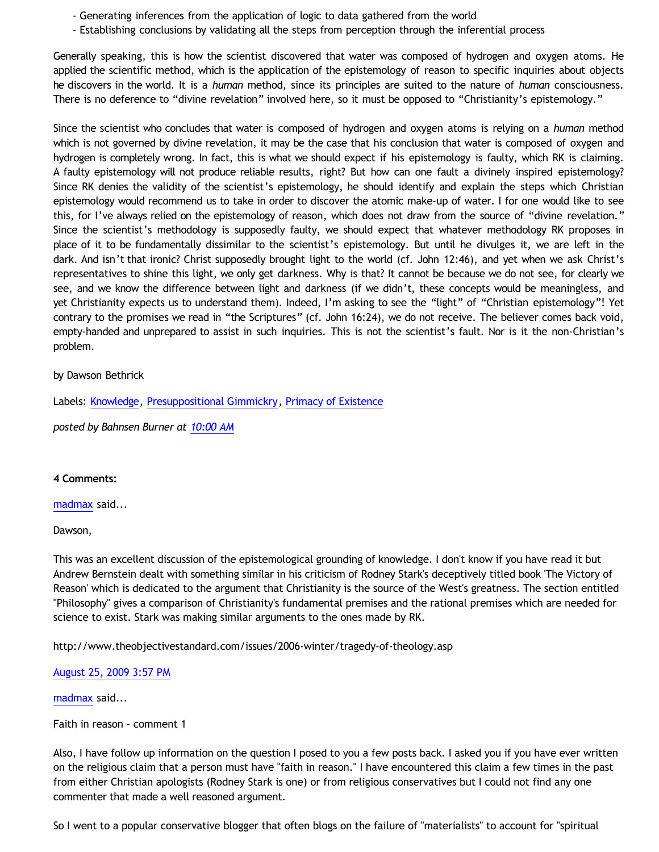- Generating inferences from the application of logic to data gathered from the world
- Establishing conclusions by validating all the steps from perception through the inferential process

Generally speaking, this is how the scientist discovered that water was composed of hydrogen and oxygen atoms. He applied the scientific method, which is the application of the epistemology of reason to specific inquiries about objects he discovers in the world. It is a *human* method, since its principles are suited to the nature of *human* consciousness. There is no deference to "divine revelation" involved here, so it must be opposed to "Christianity's epistemology."

Since the scientist who concludes that water is composed of hydrogen and oxygen atoms is relying on a *human* method which is not governed by divine revelation, it may be the case that his conclusion that water is composed of oxygen and hydrogen is completely wrong. In fact, this is what we should expect if his epistemology is faulty, which RK is claiming. A faulty epistemology will not produce reliable results, right? But how can one fault a divinely inspired epistemology? Since RK denies the validity of the scientist's epistemology, he should identify and explain the steps which Christian epistemology would recommend us to take in order to discover the atomic make-up of water. I for one would like to see this, for I've always relied on the epistemology of reason, which does not draw from the source of "divine revelation." Since the scientist's methodology is supposedly faulty, we should expect that whatever methodology RK proposes in place of it to be fundamentally dissimilar to the scientist's epistemology. But until he divulges it, we are left in the dark. And isn't that ironic? Christ supposedly brought light to the world (cf. John 12:46), and yet when we ask Christ's representatives to shine this light, we only get darkness. Why is that? It cannot be because we do not see, for clearly we see, and we know the difference between light and darkness (if we didn't, these concepts would be meaningless, and yet Christianity expects us to understand them). Indeed, I'm asking to see the "light" of "Christian epistemology"! Yet contrary to the promises we read in "the Scriptures" (cf. John 16:24), we do not receive. The believer comes back void, empty-handed and unprepared to assist in such inquiries. This is not the scientist's fault. Nor is it the non-Christian's problem.

### by Dawson Bethrick

Labels: [Knowledge,](http://bahnsenburner.blogspot.com/search/label/Knowledge) [Presuppositional Gimmickry,](http://bahnsenburner.blogspot.com/search/label/Presuppositional%20Gimmickry) [Primacy of Existence](http://bahnsenburner.blogspot.com/search/label/Primacy%20of%20Existence)

*posted by Bahnsen Burner at [10:00 AM](http://bahnsenburner.blogspot.com/2009/08/razorskiss-on-christian-god-as-basis-of_25.html)*

### **4 Comments:**

[madmax](http://www.blogger.com/profile/14375140131881725965) said...

#### Dawson,

This was an excellent discussion of the epistemological grounding of knowledge. I don't know if you have read it but Andrew Bernstein dealt with something similar in his criticism of Rodney Stark's deceptively titled book 'The Victory of Reason' which is dedicated to the argument that Christianity is the source of the West's greatness. The section entitled "Philosophy" gives a comparison of Christianity's fundamental premises and the rational premises which are needed for science to exist. Stark was making similar arguments to the ones made by RK.

<http://www.theobjectivestandard.com/issues/2006-winter/tragedy-of-theology.asp>

# [August 25, 2009 3:57 PM](http://bahnsenburner.blogspot.com/2009/08/1241505329681687587)

[madmax](http://www.blogger.com/profile/14375140131881725965) said...

Faith in reason - comment 1

Also, I have follow up information on the question I posed to you a few posts back. I asked you if you have ever written on the religious claim that a person must have "faith in reason." I have encountered this claim a few times in the past from either Christian apologists (Rodney Stark is one) or from religious conservatives but I could not find any one commenter that made a well reasoned argument.

So I went to a popular conservative blogger that often blogs on the failure of "materialists" to account for "spiritual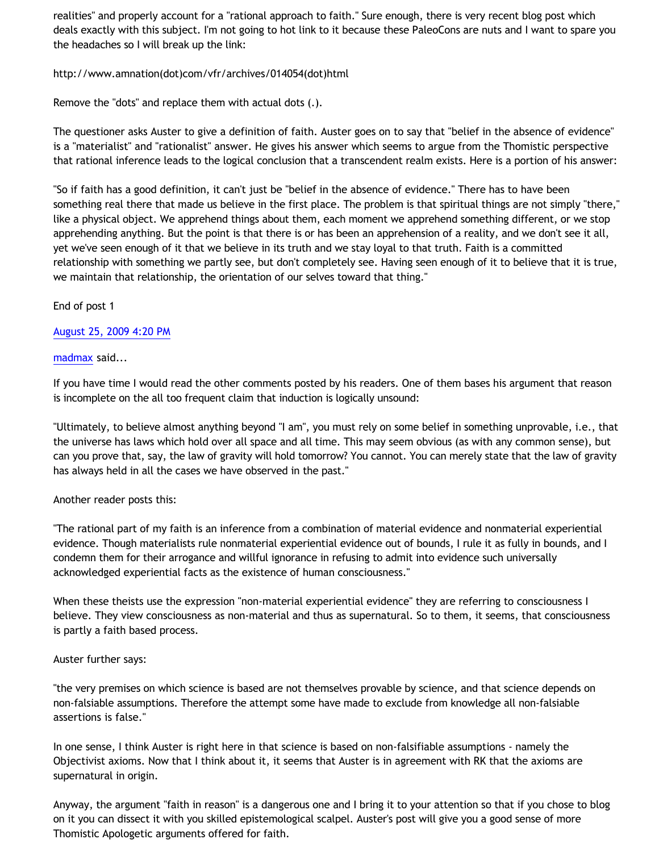realities" and properly account for a "rational approach to faith." Sure enough, there is very recent blog post which deals exactly with this subject. I'm not going to hot link to it because these PaleoCons are nuts and I want to spare you the headaches so I will break up the link:

[http://www.amnation\(dot\)com/vfr/archives/014054\(dot\)html](http://www.amnation(dot)com/vfr/archives/014054(dot)html)

Remove the "dots" and replace them with actual dots (.).

The questioner asks Auster to give a definition of faith. Auster goes on to say that "belief in the absence of evidence" is a "materialist" and "rationalist" answer. He gives his answer which seems to argue from the Thomistic perspective that rational inference leads to the logical conclusion that a transcendent realm exists. Here is a portion of his answer:

"So if faith has a good definition, it can't just be "belief in the absence of evidence." There has to have been something real there that made us believe in the first place. The problem is that spiritual things are not simply "there," like a physical object. We apprehend things about them, each moment we apprehend something different, or we stop apprehending anything. But the point is that there is or has been an apprehension of a reality, and we don't see it all, yet we've seen enough of it that we believe in its truth and we stay loyal to that truth. Faith is a committed relationship with something we partly see, but don't completely see. Having seen enough of it to believe that it is true, we maintain that relationship, the orientation of our selves toward that thing."

End of post 1

[August 25, 2009 4:20 PM](http://bahnsenburner.blogspot.com/2009/08/3997332000584899108)

[madmax](http://www.blogger.com/profile/14375140131881725965) said...

If you have time I would read the other comments posted by his readers. One of them bases his argument that reason is incomplete on the all too frequent claim that induction is logically unsound:

"Ultimately, to believe almost anything beyond "I am", you must rely on some belief in something unprovable, i.e., that the universe has laws which hold over all space and all time. This may seem obvious (as with any common sense), but can you prove that, say, the law of gravity will hold tomorrow? You cannot. You can merely state that the law of gravity has always held in all the cases we have observed in the past."

# Another reader posts this:

"The rational part of my faith is an inference from a combination of material evidence and nonmaterial experiential evidence. Though materialists rule nonmaterial experiential evidence out of bounds, I rule it as fully in bounds, and I condemn them for their arrogance and willful ignorance in refusing to admit into evidence such universally acknowledged experiential facts as the existence of human consciousness."

When these theists use the expression "non-material experiential evidence" they are referring to consciousness I believe. They view consciousness as non-material and thus as supernatural. So to them, it seems, that consciousness is partly a faith based process.

# Auster further says:

"the very premises on which science is based are not themselves provable by science, and that science depends on non-falsiable assumptions. Therefore the attempt some have made to exclude from knowledge all non-falsiable assertions is false."

In one sense, I think Auster is right here in that science is based on non-falsifiable assumptions - namely the Objectivist axioms. Now that I think about it, it seems that Auster is in agreement with RK that the axioms are supernatural in origin.

Anyway, the argument "faith in reason" is a dangerous one and I bring it to your attention so that if you chose to blog on it you can dissect it with you skilled epistemological scalpel. Auster's post will give you a good sense of more Thomistic Apologetic arguments offered for faith.